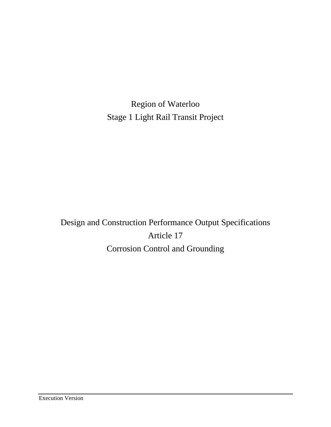Region of Waterloo Stage 1 Light Rail Transit Project

Design and Construction Performance Output Specifications Article 17 Corrosion Control and Grounding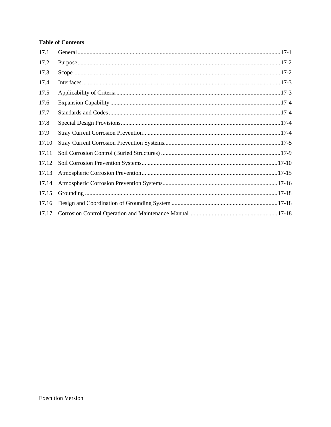# **Table of Contents**

| 17.1  |  |
|-------|--|
| 17.2  |  |
| 17.3  |  |
| 17.4  |  |
| 17.5  |  |
| 17.6  |  |
| 17.7  |  |
| 17.8  |  |
| 17.9  |  |
| 17.10 |  |
| 17.11 |  |
| 17.12 |  |
| 17.13 |  |
| 17.14 |  |
| 17.15 |  |
| 17.16 |  |
| 17.17 |  |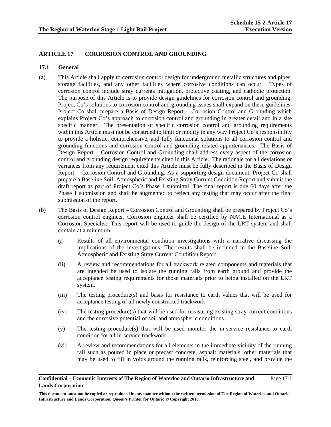# **ARTICLE 17 CORROSION CONTROL AND GROUNDING**

### **17.1 General**

- (a) This Article shall apply to corrosion control design for underground metallic structures and pipes, storage facilities, and any other facilities where corrosive conditions can occur. Types of corrosion control include stray currents mitigation, protective coating, and cathodic protection. The purpose of this Article is to provide design guidelines for corrosion control and grounding. Project Co's solutions to corrosion control and grounding issues shall expand on these guidelines. Project Co shall prepare a Basis of Design Report – Corrosion Control and Grounding which explains Project Co's approach to corrosion control and grounding in greater detail and in a site specific manner. The presentation of specific corrosion control and grounding requirements within this Article must not be construed to limit or modify in any way Project Co's responsibility to provide a holistic, comprehensive, and fully functional solutions to all corrosion control and grounding functions and corrosion control and grounding related appurtenances. The Basis of Design Report – Corrosion Control and Grounding shall address every aspect of the corrosion control and grounding design requirements cited in this Article. The rationale for all deviations or variances from any requirement cited this Article must be fully described in the Basis of Design Report – Corrosion Control and Grounding. As a supporting design document, Project Co shall prepare a Baseline Soil, Atmospheric and Existing Stray Current Condition Report and submit the draft report as part of Project Co's Phase 1 submittal. The final report is due 60 days after the Phase 1 submission and shall be augmented to reflect any testing that may occur after the final submission of the report.
- (b) The Basis of Design Report Corrosion Control and Grounding shall be prepared by Project Co's corrosion control engineer. Corrosion engineer shall be certified by NACE International as a Corrosion Specialist. This report will be used to guide the design of the LRT system and shall contain at a minimum:
	- (i) Results of all environmental condition investigations with a narrative discussing the implications of the investigations. The results shall be included in the Baseline Soil, Atmospheric and Existing Stray Current Condition Report.
	- (ii) A review and recommendations for all trackwork related components and materials that are intended be used to isolate the running rails from earth ground and provide the acceptance testing requirements for those materials prior to being installed on the LRT system.
	- (iii) The testing procedure(s) and basis for resistance to earth values that will be used for acceptance testing of all newly constructed trackwork
	- (iv) The testing procedure(s) that will be used for measuring existing stray current conditions and the corrosive potential of soil and atmospheric conditions.
	- (v) The testing procedure(s) that will be used monitor the in-service resistance to earth condition for all in-service trackwork
	- (vi) A review and recommendations for all elements in the immediate vicinity of the running rail such as poured in place or precast concrete, asphalt materials, other materials that may be used to fill in voids around the running rails, reinforcing steel, and provide the

#### **Confidential – Economic Interests of The Region of Waterloo and Ontario Infrastructure and Lands Corporation**  Page 17-1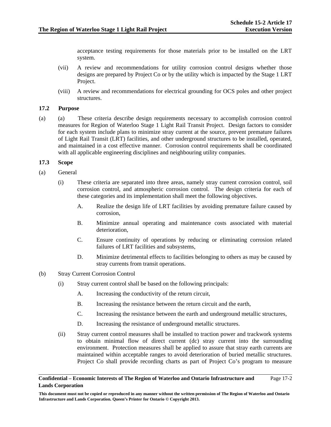acceptance testing requirements for those materials prior to be installed on the LRT system.

- (vii) A review and recommendations for utility corrosion control designs whether those designs are prepared by Project Co or by the utility which is impacted by the Stage 1 LRT Project.
- (viii) A review and recommendations for electrical grounding for OCS poles and other project structures.

## **17.2 Purpose**

(a) (a) These criteria describe design requirements necessary to accomplish corrosion control measures for Region of Waterloo Stage 1 Light Rail Transit Project. Design factors to consider for each system include plans to minimize stray current at the source, prevent premature failures of Light Rail Transit (LRT) facilities, and other underground structures to be installed, operated, and maintained in a cost effective manner. Corrosion control requirements shall be coordinated with all applicable engineering disciplines and neighbouring utility companies.

### **17.3 Scope**

- (a) General
	- (i) These criteria are separated into three areas, namely stray current corrosion control, soil corrosion control, and atmospheric corrosion control. The design criteria for each of these categories and its implementation shall meet the following objectives.
		- A. Realize the design life of LRT facilities by avoiding premature failure caused by corrosion,
		- B. Minimize annual operating and maintenance costs associated with material deterioration,
		- C. Ensure continuity of operations by reducing or eliminating corrosion related failures of LRT facilities and subsystems,
		- D. Minimize detrimental effects to facilities belonging to others as may be caused by stray currents from transit operations.
- (b) Stray Current Corrosion Control
	- (i) Stray current control shall be based on the following principals:
		- A. Increasing the conductivity of the return circuit,
		- B. Increasing the resistance between the return circuit and the earth,
		- C. Increasing the resistance between the earth and underground metallic structures,
		- D. Increasing the resistance of underground metallic structures.
	- (ii) Stray current control measures shall be installed to traction power and trackwork systems to obtain minimal flow of direct current (dc) stray current into the surrounding environment. Protection measures shall be applied to assure that stray earth currents are maintained within acceptable ranges to avoid deterioration of buried metallic structures. Project Co shall provide recording charts as part of Project Co's program to measure

#### **Confidential – Economic Interests of The Region of Waterloo and Ontario Infrastructure and Lands Corporation**  Page 17-2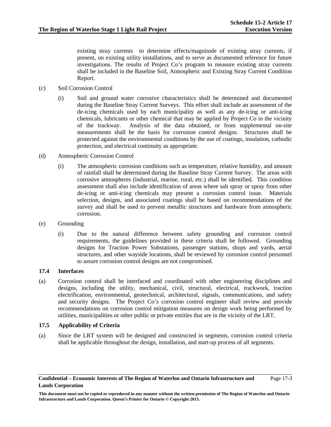existing stray currents to determine effects/magnitude of existing stray currents, if present, on existing utility installations, and to serve as documented reference for future investigations. The results of Project Co's program to measure existing stray currents shall be included in the Baseline Soil, Atmospheric and Existing Stray Current Condition Report.

- (c) Soil Corrosion Control
	- (i) Soil and ground water corrosive characteristics shall be determined and documented during the Baseline Stray Current Surveys. This effort shall include an assessment of the de-icing chemicals used by each municipality as well as any de-icing or anti-icing chemicals, lubricants or other chemical that may be applied by Project Co in the vicinity of the trackway. Analysis of the data obtained, or from supplemental on-site measurements shall be the basis for corrosion control designs. Structures shall be protected against the environmental conditions by the use of coatings, insulation, cathodic protection, and electrical continuity as appropriate.
- (d) Atmospheric Corrosion Control
	- (i) The atmospheric corrosion conditions such as temperature, relative humidity, and amount of rainfall shall be determined during the Baseline Stray Current Survey. The areas with corrosive atmospheres (industrial, marine, rural, etc.) shall be identified. This condition assessment shall also include identification of areas where salt spray or spray from other de-icing or anti-icing chemicals may present a corrosion control issue. Materials selection, designs, and associated coatings shall be based on recommendations of the survey and shall be used to prevent metallic structures and hardware from atmospheric corrosion.
- (e) Grounding
	- (i) Due to the natural difference between safety grounding and corrosion control requirements, the guidelines provided in these criteria shall be followed. Grounding designs for Traction Power Substations, passenger stations, shops and yards, aerial structures, and other wayside locations, shall be reviewed by corrosion control personnel to assure corrosion control designs are not compromised.

# **17.4 Interfaces**

(a) Corrosion control shall be interfaced and coordinated with other engineering disciplines and designs, including the utility, mechanical, civil, structural, electrical, trackwork, traction electrification, environmental, geotechnical, architectural, signals, communications, and safety and security designs. The Project Co's corrosion control engineer shall review and provide recommendations on corrosion control mitigation measures on design work being performed by utilities, municipalities or other public or private entities that are in the vicinity of the LRT.

### **17.5 Applicability of Criteria**

(a) Since the LRT system will be designed and constructed in segments, corrosion control criteria shall be applicable throughout the design, installation, and start-up process of all segments.

**This document must not be copied or reproduced in any manner without the written permission of The Region of Waterloo and Ontario Infrastructure and Lands Corporation. Queen's Printer for Ontario © Copyright 2013.**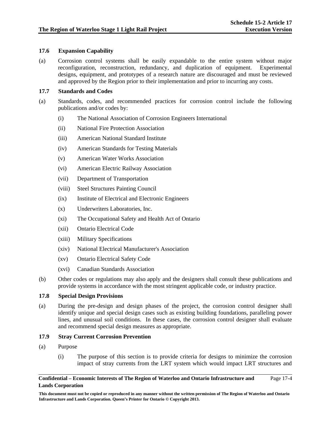## **17.6 Expansion Capability**

(a) Corrosion control systems shall be easily expandable to the entire system without major reconfiguration, reconstruction, redundancy, and duplication of equipment. Experimental designs, equipment, and prototypes of a research nature are discouraged and must be reviewed and approved by the Region prior to their implementation and prior to incurring any costs.

## **17.7 Standards and Codes**

- (a) Standards, codes, and recommended practices for corrosion control include the following publications and/or codes by:
	- (i) The National Association of Corrosion Engineers International
	- (ii) National Fire Protection Association
	- (iii) American National Standard Institute
	- (iv) American Standards for Testing Materials
	- (v) American Water Works Association
	- (vi) American Electric Railway Association
	- (vii) Department of Transportation
	- (viii) Steel Structures Painting Council
	- (ix) Institute of Electrical and Electronic Engineers
	- (x) Underwriters Laboratories, Inc.
	- (xi) The Occupational Safety and Health Act of Ontario
	- (xii) Ontario Electrical Code
	- (xiii) Military Specifications
	- (xiv) National Electrical Manufacturer's Association
	- (xv) Ontario Electrical Safety Code
	- (xvi) Canadian Standards Association
- (b) Other codes or regulations may also apply and the designers shall consult these publications and provide systems in accordance with the most stringent applicable code, or industry practice.

## **17.8 Special Design Provisions**

(a) During the pre-design and design phases of the project, the corrosion control designer shall identify unique and special design cases such as existing building foundations, paralleling power lines, and unusual soil conditions. In these cases, the corrosion control designer shall evaluate and recommend special design measures as appropriate.

## **17.9 Stray Current Corrosion Prevention**

- (a) Purpose
	- (i) The purpose of this section is to provide criteria for designs to minimize the corrosion impact of stray currents from the LRT system which would impact LRT structures and

#### **Confidential – Economic Interests of The Region of Waterloo and Ontario Infrastructure and Lands Corporation**  Page 17-4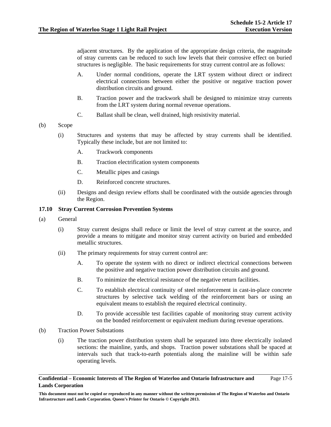adjacent structures. By the application of the appropriate design criteria, the magnitude of stray currents can be reduced to such low levels that their corrosive effect on buried structures is negligible. The basic requirements for stray current control are as follows:

- A. Under normal conditions, operate the LRT system without direct or indirect electrical connections between either the positive or negative traction power distribution circuits and ground.
- B. Traction power and the trackwork shall be designed to minimize stray currents from the LRT system during normal revenue operations.
- C. Ballast shall be clean, well drained, high resistivity material.
- (b) Scope
	- (i) Structures and systems that may be affected by stray currents shall be identified. Typically these include, but are not limited to:
		- A. Trackwork components
		- B. Traction electrification system components
		- C. Metallic pipes and casings
		- D. Reinforced concrete structures.
	- (ii) Designs and design review efforts shall be coordinated with the outside agencies through the Region.

### **17.10 Stray Current Corrosion Prevention Systems**

- (a) General
	- (i) Stray current designs shall reduce or limit the level of stray current at the source, and provide a means to mitigate and monitor stray current activity on buried and embedded metallic structures.
	- (ii) The primary requirements for stray current control are:
		- A. To operate the system with no direct or indirect electrical connections between the positive and negative traction power distribution circuits and ground.
		- B. To minimize the electrical resistance of the negative return facilities.
		- C. To establish electrical continuity of steel reinforcement in cast-in-place concrete structures by selective tack welding of the reinforcement bars or using an equivalent means to establish the required electrical continuity.
		- D. To provide accessible test facilities capable of monitoring stray current activity on the bonded reinforcement or equivalent medium during revenue operations.
- (b) Traction Power Substations
	- (i) The traction power distribution system shall be separated into three electrically isolated sections: the mainline, yards, and shops. Traction power substations shall be spaced at intervals such that track-to-earth potentials along the mainline will be within safe operating levels.

#### **Confidential – Economic Interests of The Region of Waterloo and Ontario Infrastructure and Lands Corporation**  Page 17-5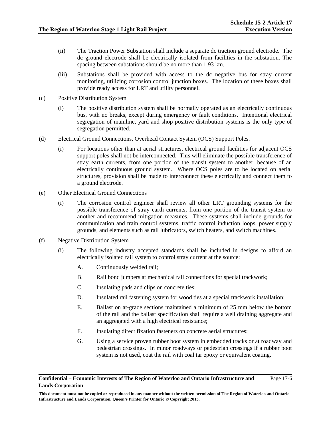- (ii) The Traction Power Substation shall include a separate dc traction ground electrode. The dc ground electrode shall be electrically isolated from facilities in the substation. The spacing between substations should be no more than 1.93 km.
- (iii) Substations shall be provided with access to the dc negative bus for stray current monitoring, utilizing corrosion control junction boxes. The location of these boxes shall provide ready access for LRT and utility personnel.
- (c) Positive Distribution System
	- (i) The positive distribution system shall be normally operated as an electrically continuous bus, with no breaks, except during emergency or fault conditions. Intentional electrical segregation of mainline, yard and shop positive distribution systems is the only type of segregation permitted.
- (d) Electrical Ground Connections, Overhead Contact System (OCS) Support Poles.
	- (i) For locations other than at aerial structures, electrical ground facilities for adjacent OCS support poles shall not be interconnected. This will eliminate the possible transference of stray earth currents, from one portion of the transit system to another, because of an electrically continuous ground system. Where OCS poles are to be located on aerial structures, provision shall be made to interconnect these electrically and connect them to a ground electrode.
- (e) Other Electrical Ground Connections
	- (i) The corrosion control engineer shall review all other LRT grounding systems for the possible transference of stray earth currents, from one portion of the transit system to another and recommend mitigation measures. These systems shall include grounds for communication and train control systems, traffic control induction loops, power supply grounds, and elements such as rail lubricators, switch heaters, and switch machines.
- (f) Negative Distribution System
	- (i) The following industry accepted standards shall be included in designs to afford an electrically isolated rail system to control stray current at the source:
		- A. Continuously welded rail;
		- B. Rail bond jumpers at mechanical rail connections for special trackwork;
		- C. Insulating pads and clips on concrete ties;
		- D. Insulated rail fastening system for wood ties at a special trackwork installation;
		- E. Ballast on at-grade sections maintained a minimum of 25 mm below the bottom of the rail and the ballast specification shall require a well draining aggregate and an aggregated with a high electrical resistance;
		- F. Insulating direct fixation fasteners on concrete aerial structures;
		- G. Using a service proven rubber boot system in embedded tracks or at roadway and pedestrian crossings. In minor roadways or pedestrian crossings if a rubber boot system is not used, coat the rail with coal tar epoxy or equivalent coating.

#### **Confidential – Economic Interests of The Region of Waterloo and Ontario Infrastructure and Lands Corporation**  Page 17-6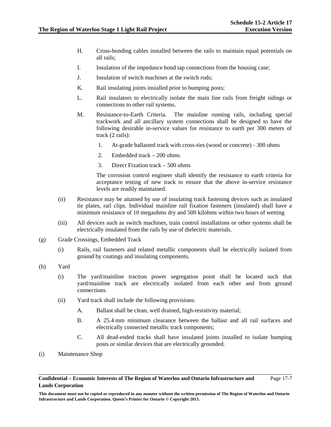- H. Cross-bonding cables installed between the rails to maintain equal potentials on all rails;
- I. Insulation of the impedance bond tap connections from the housing case;
- J. Insulation of switch machines at the switch rods;
- K. Rail insulating joints installed prior to bumping posts;
- L. Rail insulators to electrically isolate the main line rails from freight sidings or connections to other rail systems.
- M. Resistance-to-Earth Criteria. The mainline running rails, including special trackwork and all ancillary system connections shall be designed to have the following desirable in-service values for resistance to earth per 300 meters of track (2 rails):
	- 1. At-grade ballasted track with cross-ties (wood or concrete) 300 ohms
	- 2. Embedded track 200 ohms.
	- 3. Direct Fixation track 500 ohms

The corrosion control engineer shall identify the resistance to earth criteria for acceptance testing of new track to ensure that the above in-service resistance levels are readily maintained.

- (ii) Resistance may be attained by use of insulating track fastening devices such as insulated tie plates, rail clips. Individual mainline rail fixation fasteners (insulated) shall have a minimum resistance of 10 megaohms dry and 500 kilohms within two hours of wetting
- (iii) All devices such as switch machines, train control installations or other systems shall be electrically insulated from the rails by use of dielectric materials.
- (g) Grade Crossings, Embedded Track
	- (i) Rails, rail fasteners and related metallic components shall be electrically isolated from ground by coatings and insulating components.
- (h) Yard
	- (i) The yard/mainline traction power segregation point shall be located such that yard/mainline track are electrically isolated from each other and from ground connections.
	- (ii) Yard track shall include the following provisions:
		- A. Ballast shall be clean, well drained, high-resistivity material;
		- B. A 25.4 mm minimum clearance between the ballast and all rail surfaces and electrically connected metallic track components;
		- C. All dead-ended tracks shall have insulated joints installed to isolate bumping posts or similar devices that are electrically grounded.
- (i) Maintenance Shop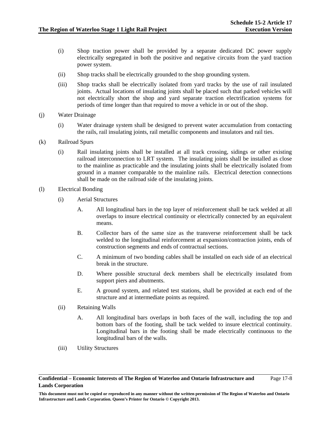- (i) Shop traction power shall be provided by a separate dedicated DC power supply electrically segregated in both the positive and negative circuits from the yard traction power system.
- (ii) Shop tracks shall be electrically grounded to the shop grounding system.
- (iii) Shop tracks shall be electrically isolated from yard tracks by the use of rail insulated joints. Actual locations of insulating joints shall be placed such that parked vehicles will not electrically short the shop and yard separate traction electrification systems for periods of time longer than that required to move a vehicle in or out of the shop.
- (j) Water Drainage
	- (i) Water drainage system shall be designed to prevent water accumulation from contacting the rails, rail insulating joints, rail metallic components and insulators and rail ties.
- (k) Railroad Spurs
	- (i) Rail insulating joints shall be installed at all track crossing, sidings or other existing railroad interconnection to LRT system. The insulating joints shall be installed as close to the mainline as practicable and the insulating joints shall be electrically isolated from ground in a manner comparable to the mainline rails. Electrical detection connections shall be made on the railroad side of the insulating joints.
- (l) Electrical Bonding
	- (i) Aerial Structures
		- A. All longitudinal bars in the top layer of reinforcement shall be tack welded at all overlaps to insure electrical continuity or electrically connected by an equivalent means.
		- B. Collector bars of the same size as the transverse reinforcement shall be tack welded to the longitudinal reinforcement at expansion/contraction joints, ends of construction segments and ends of contractual sections.
		- C. A minimum of two bonding cables shall be installed on each side of an electrical break in the structure.
		- D. Where possible structural deck members shall be electrically insulated from support piers and abutments.
		- E. A ground system, and related test stations, shall be provided at each end of the structure and at intermediate points as required.
	- (ii) Retaining Walls
		- A. All longitudinal bars overlaps in both faces of the wall, including the top and bottom bars of the footing, shall be tack welded to insure electrical continuity. Longitudinal bars in the footing shall be made electrically continuous to the longitudinal bars of the walls.
	- (iii) Utility Structures

**This document must not be copied or reproduced in any manner without the written permission of The Region of Waterloo and Ontario Infrastructure and Lands Corporation. Queen's Printer for Ontario © Copyright 2013.**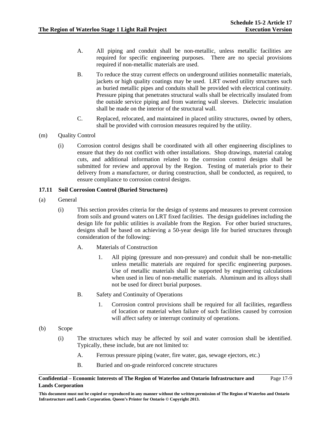- A. All piping and conduit shall be non-metallic, unless metallic facilities are required for specific engineering purposes. There are no special provisions required if non-metallic materials are used.
- B. To reduce the stray current effects on underground utilities nonmetallic materials, jackets or high quality coatings may be used. LRT owned utility structures such as buried metallic pipes and conduits shall be provided with electrical continuity. Pressure piping that penetrates structural walls shall be electrically insulated from the outside service piping and from watering wall sleeves. Dielectric insulation shall be made on the interior of the structural wall.
- C. Replaced, relocated, and maintained in placed utility structures, owned by others, shall be provided with corrosion measures required by the utility.
- (m) Quality Control
	- (i) Corrosion control designs shall be coordinated with all other engineering disciplines to ensure that they do not conflict with other installations. Shop drawings, material catalog cuts, and additional information related to the corrosion control designs shall be submitted for review and approval by the Region. Testing of materials prior to their delivery from a manufacturer, or during construction, shall be conducted, as required, to ensure compliance to corrosion control designs.

## **17.11 Soil Corrosion Control (Buried Structures)**

- (a) General
	- (i) This section provides criteria for the design of systems and measures to prevent corrosion from soils and ground waters on LRT fixed facilities. The design guidelines including the design life for public utilities is available from the Region. For other buried structures, designs shall be based on achieving a 50-year design life for buried structures through consideration of the following:
		- A. Materials of Construction
			- 1. All piping (pressure and non-pressure) and conduit shall be non-metallic unless metallic materials are required for specific engineering purposes. Use of metallic materials shall be supported by engineering calculations when used in lieu of non-metallic materials. Aluminum and its alloys shall not be used for direct burial purposes.
		- B. Safety and Continuity of Operations
			- 1. Corrosion control provisions shall be required for all facilities, regardless of location or material when failure of such facilities caused by corrosion will affect safety or interrupt continuity of operations.
- (b) Scope
	- (i) The structures which may be affected by soil and water corrosion shall be identified. Typically, these include, but are not limited to:
		- A. Ferrous pressure piping (water, fire water, gas, sewage ejectors, etc.)
		- B. Buried and on-grade reinforced concrete structures

#### **Confidential – Economic Interests of The Region of Waterloo and Ontario Infrastructure and Lands Corporation**  Page 17-9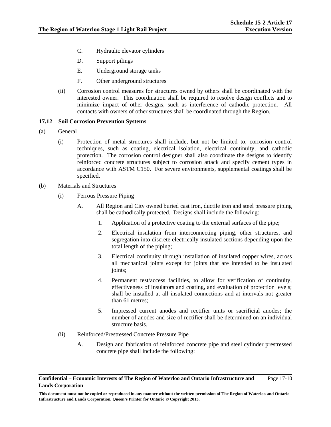- C. Hydraulic elevator cylinders
- D. Support pilings
- E. Underground storage tanks
- F. Other underground structures
- (ii) Corrosion control measures for structures owned by others shall be coordinated with the interested owner. This coordination shall be required to resolve design conflicts and to minimize impact of other designs, such as interference of cathodic protection. All contacts with owners of other structures shall be coordinated through the Region.

## **17.12 Soil Corrosion Prevention Systems**

- (a) General
	- (i) Protection of metal structures shall include, but not be limited to, corrosion control techniques, such as coating, electrical isolation, electrical continuity, and cathodic protection. The corrosion control designer shall also coordinate the designs to identify reinforced concrete structures subject to corrosion attack and specify cement types in accordance with ASTM C150. For severe environments, supplemental coatings shall be specified.
- (b) Materials and Structures
	- (i) Ferrous Pressure Piping
		- A. All Region and City owned buried cast iron, ductile iron and steel pressure piping shall be cathodically protected. Designs shall include the following:
			- 1. Application of a protective coating to the external surfaces of the pipe;
			- 2. Electrical insulation from interconnecting piping, other structures, and segregation into discrete electrically insulated sections depending upon the total length of the piping;
			- 3. Electrical continuity through installation of insulated copper wires, across all mechanical joints except for joints that are intended to be insulated joints;
			- 4. Permanent test/access facilities, to allow for verification of continuity, effectiveness of insulators and coating, and evaluation of protection levels; shall be installed at all insulated connections and at intervals not greater than 61 metres;
			- 5. Impressed current anodes and rectifier units or sacrificial anodes; the number of anodes and size of rectifier shall be determined on an individual structure basis.
	- (ii) Reinforced/Prestressed Concrete Pressure Pipe
		- A. Design and fabrication of reinforced concrete pipe and steel cylinder prestressed concrete pipe shall include the following:

**Confidential – Economic Interests of The Region of Waterloo and Ontario Infrastructure and Lands Corporation**  Page 17-10

**This document must not be copied or reproduced in any manner without the written permission of The Region of Waterloo and Ontario Infrastructure and Lands Corporation. Queen's Printer for Ontario © Copyright 2013.**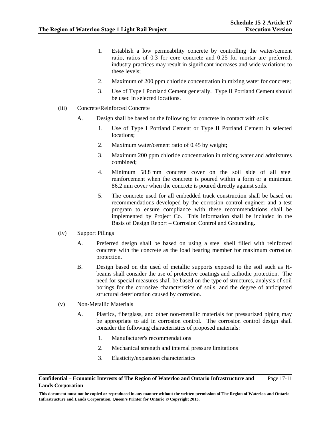- 1. Establish a low permeability concrete by controlling the water/cement ratio, ratios of 0.3 for core concrete and 0.25 for mortar are preferred, industry practices may result in significant increases and wide variations to these levels;
- 2. Maximum of 200 ppm chloride concentration in mixing water for concrete;
- 3. Use of Type I Portland Cement generally. Type II Portland Cement should be used in selected locations.
- (iii) Concrete/Reinforced Concrete
	- A. Design shall be based on the following for concrete in contact with soils:
		- 1. Use of Type I Portland Cement or Type II Portland Cement in selected locations;
		- 2. Maximum water/cement ratio of 0.45 by weight;
		- 3. Maximum 200 ppm chloride concentration in mixing water and admixtures combined;
		- 4. Minimum 58.8 mm concrete cover on the soil side of all steel reinforcement when the concrete is poured within a form or a minimum 86.2 mm cover when the concrete is poured directly against soils.
		- 5. The concrete used for all embedded track construction shall be based on recommendations developed by the corrosion control engineer and a test program to ensure compliance with these recommendations shall be implemented by Project Co. This information shall be included in the Basis of Design Report – Corrosion Control and Grounding.
- (iv) Support Pilings
	- A. Preferred design shall be based on using a steel shell filled with reinforced concrete with the concrete as the load bearing member for maximum corrosion protection.
	- B. Design based on the used of metallic supports exposed to the soil such as Hbeams shall consider the use of protective coatings and cathodic protection. The need for special measures shall be based on the type of structures, analysis of soil borings for the corrosive characteristics of soils, and the degree of anticipated structural deterioration caused by corrosion.
- (v) Non-Metallic Materials
	- A. Plastics, fiberglass, and other non-metallic materials for pressurized piping may be appropriate to aid in corrosion control. The corrosion control design shall consider the following characteristics of proposed materials:
		- 1. Manufacturer's recommendations
		- 2. Mechanical strength and internal pressure limitations
		- 3. Elasticity/expansion characteristics

**Confidential – Economic Interests of The Region of Waterloo and Ontario Infrastructure and Lands Corporation**  Page 17-11

**This document must not be copied or reproduced in any manner without the written permission of The Region of Waterloo and Ontario Infrastructure and Lands Corporation. Queen's Printer for Ontario © Copyright 2013.**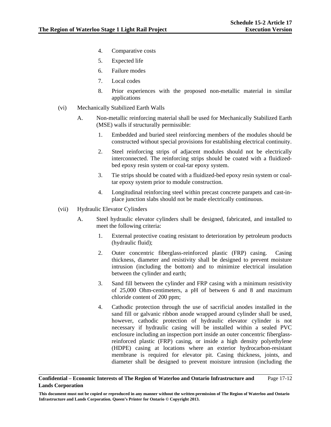- 4. Comparative costs
- 5. Expected life
- 6. Failure modes
- 7. Local codes
- 8. Prior experiences with the proposed non-metallic material in similar applications
- (vi) Mechanically Stabilized Earth Walls
	- A. Non-metallic reinforcing material shall be used for Mechanically Stabilized Earth (MSE) walls if structurally permissible:
		- 1. Embedded and buried steel reinforcing members of the modules should be constructed without special provisions for establishing electrical continuity.
		- 2. Steel reinforcing strips of adjacent modules should not be electrically interconnected. The reinforcing strips should be coated with a fluidizedbed epoxy resin system or coal-tar epoxy system.
		- 3. Tie strips should be coated with a fluidized-bed epoxy resin system or coaltar epoxy system prior to module construction.
		- 4. Longitudinal reinforcing steel within precast concrete parapets and cast-inplace junction slabs should not be made electrically continuous.
- (vii) Hydraulic Elevator Cylinders
	- A. Steel hydraulic elevator cylinders shall be designed, fabricated, and installed to meet the following criteria:
		- 1. External protective coating resistant to deterioration by petroleum products (hydraulic fluid);
		- 2. Outer concentric fiberglass-reinforced plastic (FRP) casing. Casing thickness, diameter and resistivity shall be designed to prevent moisture intrusion (including the bottom) and to minimize electrical insulation between the cylinder and earth;
		- 3. Sand fill between the cylinder and FRP casing with a minimum resistivity of 25,000 Ohm-centimeters, a pH of between 6 and 8 and maximum chloride content of 200 ppm;
		- 4. Cathodic protection through the use of sacrificial anodes installed in the sand fill or galvanic ribbon anode wrapped around cylinder shall be used, however, cathodic protection of hydraulic elevator cylinder is not necessary if hydraulic casing will be installed within a sealed PVC enclosure including an inspection port inside an outer concentric fiberglassreinforced plastic (FRP) casing, or inside a high density polyethylene (HDPE) casing at locations where an exterior hydrocarbon-resistant membrane is required for elevator pit. Casing thickness, joints, and diameter shall be designed to prevent moisture intrusion (including the

**Confidential – Economic Interests of The Region of Waterloo and Ontario Infrastructure and Lands Corporation**  Page 17-12

**This document must not be copied or reproduced in any manner without the written permission of The Region of Waterloo and Ontario Infrastructure and Lands Corporation. Queen's Printer for Ontario © Copyright 2013.**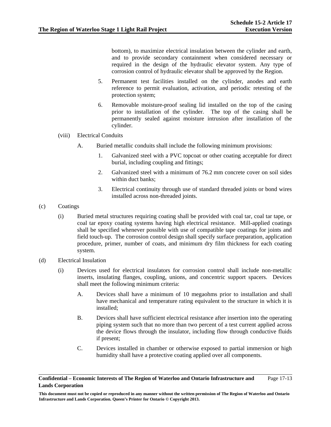bottom), to maximize electrical insulation between the cylinder and earth, and to provide secondary containment when considered necessary or required in the design of the hydraulic elevator system. Any type of corrosion control of hydraulic elevator shall be approved by the Region.

- 5. Permanent test facilities installed on the cylinder, anodes and earth reference to permit evaluation, activation, and periodic retesting of the protection system;
- 6. Removable moisture-proof sealing lid installed on the top of the casing prior to installation of the cylinder. The top of the casing shall be permanently sealed against moisture intrusion after installation of the cylinder.
- (viii) Electrical Conduits
	- A. Buried metallic conduits shall include the following minimum provisions:
		- 1. Galvanized steel with a PVC topcoat or other coating acceptable for direct burial, including coupling and fittings;
		- 2. Galvanized steel with a minimum of 76.2 mm concrete cover on soil sides within duct banks;
		- 3. Electrical continuity through use of standard threaded joints or bond wires installed across non-threaded joints.
- (c) Coatings
	- (i) Buried metal structures requiring coating shall be provided with coal tar, coal tar tape, or coal tar epoxy coating systems having high electrical resistance. Mill-applied coatings shall be specified whenever possible with use of compatible tape coatings for joints and field touch-up. The corrosion control design shall specify surface preparation, application procedure, primer, number of coats, and minimum dry film thickness for each coating system.
- (d) Electrical Insulation
	- (i) Devices used for electrical insulators for corrosion control shall include non-metallic inserts, insulating flanges, coupling, unions, and concentric support spacers. Devices shall meet the following minimum criteria:
		- A. Devices shall have a minimum of 10 megaohms prior to installation and shall have mechanical and temperature rating equivalent to the structure in which it is installed;
		- B. Devices shall have sufficient electrical resistance after insertion into the operating piping system such that no more than two percent of a test current applied across the device flows through the insulator, including flow through conductive fluids if present;
		- C. Devices installed in chamber or otherwise exposed to partial immersion or high humidity shall have a protective coating applied over all components.

**Confidential – Economic Interests of The Region of Waterloo and Ontario Infrastructure and Lands Corporation**  Page 17-13

**This document must not be copied or reproduced in any manner without the written permission of The Region of Waterloo and Ontario Infrastructure and Lands Corporation. Queen's Printer for Ontario © Copyright 2013.**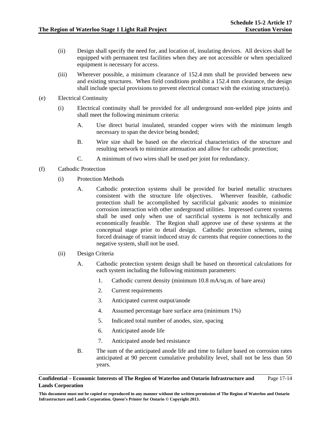- (ii) Design shall specify the need for, and location of, insulating devices. All devices shall be equipped with permanent test facilities when they are not accessible or when specialized equipment is necessary for access.
- (iii) Wherever possible, a minimum clearance of 152.4 mm shall be provided between new and existing structures. When field conditions prohibit a 152.4 mm clearance, the design shall include special provisions to prevent electrical contact with the existing structure(s).
- (e) Electrical Continuity
	- (i) Electrical continuity shall be provided for all underground non-welded pipe joints and shall meet the following minimum criteria:
		- A. Use direct burial insulated, stranded copper wires with the minimum length necessary to span the device being bonded;
		- B. Wire size shall be based on the electrical characteristics of the structure and resulting network to minimize attenuation and allow for cathodic protection;
		- C. A minimum of two wires shall be used per joint for redundancy.
- (f) Cathodic Protection
	- (i) Protection Methods
		- A. Cathodic protection systems shall be provided for buried metallic structures consistent with the structure life objectives. Wherever feasible, cathodic protection shall be accomplished by sacrificial galvanic anodes to minimize corrosion interaction with other underground utilities. Impressed current systems shall be used only when use of sacrificial systems is not technically and economically feasible. The Region shall approve use of these systems at the conceptual stage prior to detail design. Cathodic protection schemes, using forced drainage of transit induced stray dc currents that require connections to the negative system, shall not be used.
	- (ii) Design Criteria
		- A. Cathodic protection system design shall be based on theoretical calculations for each system including the following minimum parameters:
			- 1. Cathodic current density (minimum 10.8 mA/sq.m. of bare area)
			- 2. Current requirements
			- 3. Anticipated current output/anode
			- 4. Assumed percentage bare surface area (minimum 1%)
			- 5. Indicated total number of anodes, size, spacing
			- 6. Anticipated anode life
			- 7. Anticipated anode bed resistance
		- B. The sum of the anticipated anode life and time to failure based on corrosion rates anticipated at 90 percent cumulative probability level, shall not be less than 50 years.

#### **Confidential – Economic Interests of The Region of Waterloo and Ontario Infrastructure and Lands Corporation**  Page 17-14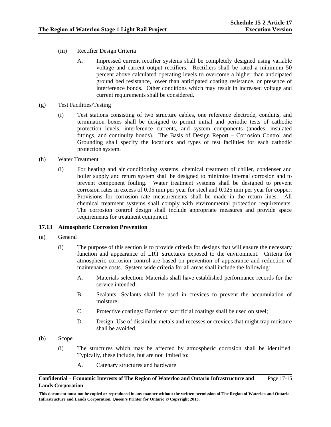- (iii) Rectifier Design Criteria
	- A. Impressed current rectifier systems shall be completely designed using variable voltage and current output rectifiers. Rectifiers shall be rated a minimum 50 percent above calculated operating levels to overcome a higher than anticipated ground bed resistance, lower than anticipated coating resistance, or presence of interference bonds. Other conditions which may result in increased voltage and current requirements shall be considered.
- (g) Test Facilities/Testing
	- (i) Test stations consisting of two structure cables, one reference electrode, conduits, and termination boxes shall be designed to permit initial and periodic tests of cathodic protection levels, interference currents, and system components (anodes, insulated fittings, and continuity bonds). The Basis of Design Report – Corrosion Control and Grounding shall specify the locations and types of test facilities for each cathodic protection system.
- (h) Water Treatment
	- (i) For heating and air conditioning systems, chemical treatment of chiller, condenser and boiler supply and return system shall be designed to minimize internal corrosion and to prevent component fouling. Water treatment systems shall be designed to prevent corrosion rates in excess of 0.05 mm per year for steel and 0.025 mm per year for copper. Provisions for corrosion rate measurements shall be made in the return lines. All chemical treatment systems shall comply with environmental protection requirements. The corrosion control design shall include appropriate measures and provide space requirements for treatment equipment.

## **17.13 Atmospheric Corrosion Prevention**

- (a) General
	- (i) The purpose of this section is to provide criteria for designs that will ensure the necessary function and appearance of LRT structures exposed to the environment. Criteria for atmospheric corrosion control are based on prevention of appearance and reduction of maintenance costs. System wide criteria for all areas shall include the following:
		- A. Materials selection: Materials shall have established performance records for the service intended;
		- B. Sealants: Sealants shall be used in crevices to prevent the accumulation of moisture;
		- C. Protective coatings: Barrier or sacrificial coatings shall be used on steel;
		- D. Design: Use of dissimilar metals and recesses or crevices that might trap moisture shall be avoided.
- (b) Scope
	- (i) The structures which may be affected by atmospheric corrosion shall be identified. Typically, these include, but are not limited to:
		- A. Catenary structures and hardware

#### **Confidential – Economic Interests of The Region of Waterloo and Ontario Infrastructure and Lands Corporation**  Page 17-15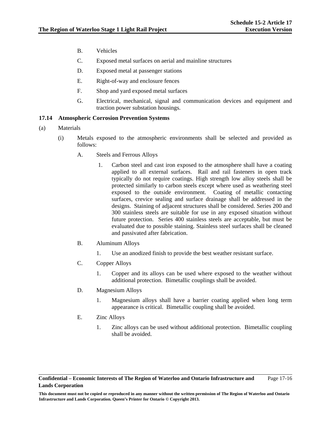- B. Vehicles
- C. Exposed metal surfaces on aerial and mainline structures
- D. Exposed metal at passenger stations
- E. Right-of-way and enclosure fences
- F. Shop and yard exposed metal surfaces
- G. Electrical, mechanical, signal and communication devices and equipment and traction power substation housings.

## **17.14 Atmospheric Corrosion Prevention Systems**

- (a) Materials
	- (i) Metals exposed to the atmospheric environments shall be selected and provided as follows:
		- A. Steels and Ferrous Alloys
			- 1. Carbon steel and cast iron exposed to the atmosphere shall have a coating applied to all external surfaces. Rail and rail fasteners in open track typically do not require coatings. High strength low alloy steels shall be protected similarly to carbon steels except where used as weathering steel exposed to the outside environment. Coating of metallic contacting surfaces, crevice sealing and surface drainage shall be addressed in the designs. Staining of adjacent structures shall be considered. Series 200 and 300 stainless steels are suitable for use in any exposed situation without future protection. Series 400 stainless steels are acceptable, but must be evaluated due to possible staining. Stainless steel surfaces shall be cleaned and passivated after fabrication.
		- B. Aluminum Alloys
			- 1. Use an anodized finish to provide the best weather resistant surface.
		- C. Copper Alloys
			- 1. Copper and its alloys can be used where exposed to the weather without additional protection. Bimetallic couplings shall be avoided.
		- D. Magnesium Alloys
			- 1. Magnesium alloys shall have a barrier coating applied when long term appearance is critical. Bimetallic coupling shall be avoided.
		- E. Zinc Alloys
			- 1. Zinc alloys can be used without additional protection. Bimetallic coupling shall be avoided.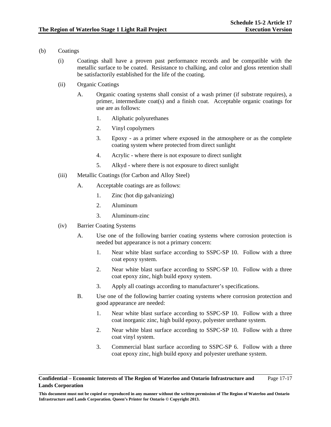- (b) Coatings
	- (i) Coatings shall have a proven past performance records and be compatible with the metallic surface to be coated. Resistance to chalking, and color and gloss retention shall be satisfactorily established for the life of the coating.
	- (ii) Organic Coatings
		- A. Organic coating systems shall consist of a wash primer (if substrate requires), a primer, intermediate coat(s) and a finish coat. Acceptable organic coatings for use are as follows:
			- 1. Aliphatic polyurethanes
			- 2. Vinyl copolymers
			- 3. Epoxy as a primer where exposed in the atmosphere or as the complete coating system where protected from direct sunlight
			- 4. Acrylic where there is not exposure to direct sunlight
			- 5. Alkyd where there is not exposure to direct sunlight
	- (iii) Metallic Coatings (for Carbon and Alloy Steel)
		- A. Acceptable coatings are as follows:
			- 1. Zinc (hot dip galvanizing)
			- 2. Aluminum
			- 3. Aluminum-zinc
	- (iv) Barrier Coating Systems
		- A. Use one of the following barrier coating systems where corrosion protection is needed but appearance is not a primary concern:
			- 1. Near white blast surface according to SSPC-SP 10. Follow with a three coat epoxy system.
			- 2. Near white blast surface according to SSPC-SP 10. Follow with a three coat epoxy zinc, high build epoxy system.
			- 3. Apply all coatings according to manufacturer's specifications.
		- B. Use one of the following barrier coating systems where corrosion protection and good appearance are needed:
			- 1. Near white blast surface according to SSPC-SP 10. Follow with a three coat inorganic zinc, high build epoxy, polyester urethane system.
			- 2. Near white blast surface according to SSPC-SP 10. Follow with a three coat vinyl system.
			- 3. Commercial blast surface according to SSPC-SP 6. Follow with a three coat epoxy zinc, high build epoxy and polyester urethane system.

**Confidential – Economic Interests of The Region of Waterloo and Ontario Infrastructure and Lands Corporation**  Page 17-17

**This document must not be copied or reproduced in any manner without the written permission of The Region of Waterloo and Ontario Infrastructure and Lands Corporation. Queen's Printer for Ontario © Copyright 2013.**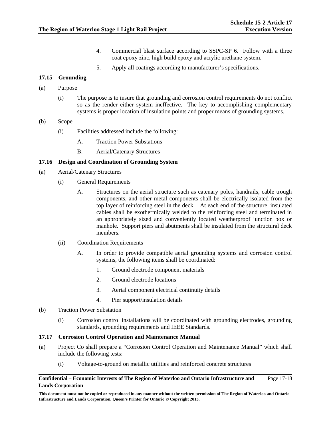- 4. Commercial blast surface according to SSPC-SP 6. Follow with a three coat epoxy zinc, high build epoxy and acrylic urethane system.
- 5. Apply all coatings according to manufacturer's specifications.

## **17.15 Grounding**

- (a) Purpose
	- (i) The purpose is to insure that grounding and corrosion control requirements do not conflict so as the render either system ineffective. The key to accomplishing complementary systems is proper location of insulation points and proper means of grounding systems.
- (b) Scope
	- (i) Facilities addressed include the following:
		- A. Traction Power Substations
		- B. Aerial/Catenary Structures

## **17.16 Design and Coordination of Grounding System**

- (a) Aerial/Catenary Structures
	- (i) General Requirements
		- A. Structures on the aerial structure such as catenary poles, handrails, cable trough components, and other metal components shall be electrically isolated from the top layer of reinforcing steel in the deck. At each end of the structure, insulated cables shall be exothermically welded to the reinforcing steel and terminated in an appropriately sized and conveniently located weatherproof junction box or manhole. Support piers and abutments shall be insulated from the structural deck members.
	- (ii) Coordination Requirements
		- A. In order to provide compatible aerial grounding systems and corrosion control systems, the following items shall be coordinated:
			- 1. Ground electrode component materials
			- 2. Ground electrode locations
			- 3. Aerial component electrical continuity details
			- 4. Pier support/insulation details
- (b) Traction Power Substation
	- (i) Corrosion control installations will be coordinated with grounding electrodes, grounding standards, grounding requirements and IEEE Standards.

## **17.17 Corrosion Control Operation and Maintenance Manual**

- (a) Project Co shall prepare a "Corrosion Control Operation and Maintenance Manual" which shall include the following tests:
	- (i) Voltage-to-ground on metallic utilities and reinforced concrete structures

#### **Confidential – Economic Interests of The Region of Waterloo and Ontario Infrastructure and Lands Corporation**  Page 17-18